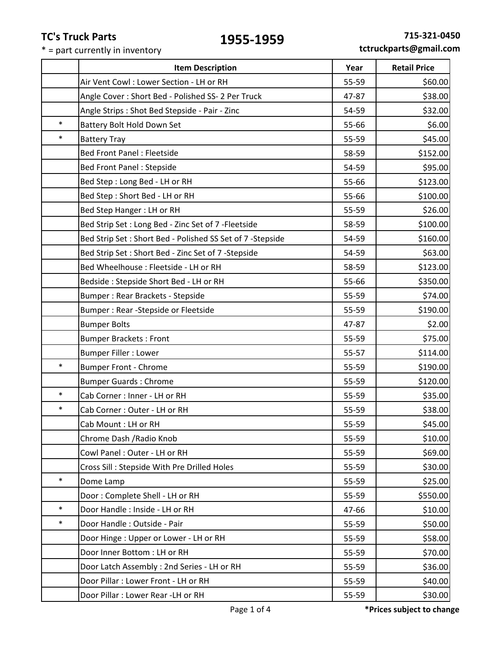|        | <b>Item Description</b>                                    | Year  | <b>Retail Price</b> |
|--------|------------------------------------------------------------|-------|---------------------|
|        | Air Vent Cowl: Lower Section - LH or RH                    | 55-59 | \$60.00             |
|        | Angle Cover: Short Bed - Polished SS- 2 Per Truck          | 47-87 | \$38.00             |
|        | Angle Strips : Shot Bed Stepside - Pair - Zinc             | 54-59 | \$32.00             |
| $\ast$ | Battery Bolt Hold Down Set                                 | 55-66 | \$6.00              |
| $\ast$ | <b>Battery Tray</b>                                        | 55-59 | \$45.00             |
|        | <b>Bed Front Panel: Fleetside</b>                          | 58-59 | \$152.00            |
|        | <b>Bed Front Panel: Stepside</b>                           | 54-59 | \$95.00             |
|        | Bed Step: Long Bed - LH or RH                              | 55-66 | \$123.00            |
|        | Bed Step: Short Bed - LH or RH                             | 55-66 | \$100.00            |
|        | Bed Step Hanger: LH or RH                                  | 55-59 | \$26.00             |
|        | Bed Strip Set: Long Bed - Zinc Set of 7 - Fleetside        | 58-59 | \$100.00            |
|        | Bed Strip Set: Short Bed - Polished SS Set of 7 - Stepside | 54-59 | \$160.00            |
|        | Bed Strip Set: Short Bed - Zinc Set of 7 - Stepside        | 54-59 | \$63.00             |
|        | Bed Wheelhouse : Fleetside - LH or RH                      | 58-59 | \$123.00            |
|        | Bedside: Stepside Short Bed - LH or RH                     | 55-66 | \$350.00            |
|        | Bumper: Rear Brackets - Stepside                           | 55-59 | \$74.00             |
|        | Bumper: Rear -Stepside or Fleetside                        | 55-59 | \$190.00            |
|        | <b>Bumper Bolts</b>                                        | 47-87 | \$2.00              |
|        | <b>Bumper Brackets: Front</b>                              | 55-59 | \$75.00             |
|        | <b>Bumper Filler : Lower</b>                               | 55-57 | \$114.00            |
| $\ast$ | <b>Bumper Front - Chrome</b>                               | 55-59 | \$190.00            |
|        | <b>Bumper Guards: Chrome</b>                               | 55-59 | \$120.00            |
| $\ast$ | Cab Corner : Inner - LH or RH                              | 55-59 | \$35.00             |
| $\ast$ | Cab Corner: Outer - LH or RH                               | 55-59 | \$38.00             |
|        | Cab Mount: LH or RH                                        | 55-59 | \$45.00             |
|        | Chrome Dash / Radio Knob                                   | 55-59 | \$10.00             |
|        | Cowl Panel: Outer - LH or RH                               | 55-59 | \$69.00             |
|        | Cross Sill: Stepside With Pre Drilled Holes                | 55-59 | \$30.00             |
| $\ast$ | Dome Lamp                                                  | 55-59 | \$25.00             |
|        | Door: Complete Shell - LH or RH                            | 55-59 | \$550.00            |
| $\ast$ | Door Handle: Inside - LH or RH                             | 47-66 | \$10.00             |
| $\ast$ | Door Handle: Outside - Pair                                | 55-59 | \$50.00             |
|        | Door Hinge: Upper or Lower - LH or RH                      | 55-59 | \$58.00             |
|        | Door Inner Bottom : LH or RH                               | 55-59 | \$70.00             |
|        | Door Latch Assembly: 2nd Series - LH or RH                 | 55-59 | \$36.00             |
|        | Door Pillar : Lower Front - LH or RH                       | 55-59 | \$40.00             |
|        | Door Pillar : Lower Rear -LH or RH                         | 55-59 | \$30.00             |
|        |                                                            |       |                     |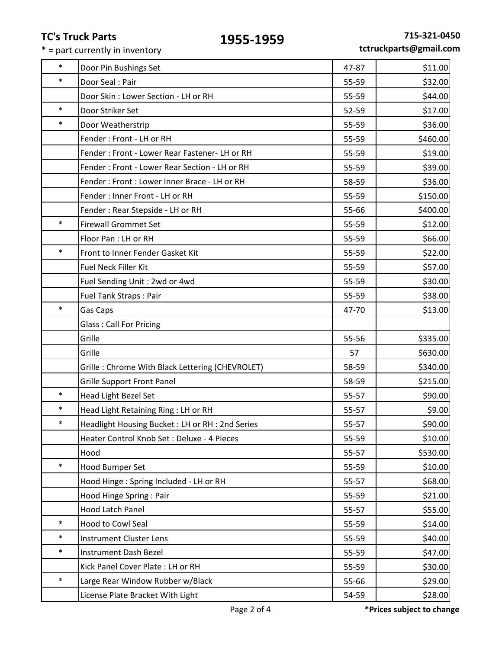| $\ast$ | Door Pin Bushings Set                           | 47-87 | \$11.00  |
|--------|-------------------------------------------------|-------|----------|
| $\ast$ | Door Seal: Pair                                 | 55-59 | \$32.00  |
|        | Door Skin: Lower Section - LH or RH             | 55-59 | \$44.00  |
| $\ast$ | Door Striker Set                                | 52-59 | \$17.00  |
| $\ast$ | Door Weatherstrip                               | 55-59 | \$36.00  |
|        | Fender: Front - LH or RH                        | 55-59 | \$460.00 |
|        | Fender: Front - Lower Rear Fastener- LH or RH   | 55-59 | \$19.00  |
|        | Fender: Front - Lower Rear Section - LH or RH   | 55-59 | \$39.00  |
|        | Fender: Front: Lower Inner Brace - LH or RH     | 58-59 | \$36.00  |
|        | Fender: Inner Front - LH or RH                  | 55-59 | \$150.00 |
|        | Fender: Rear Stepside - LH or RH                | 55-66 | \$400.00 |
| $\ast$ | <b>Firewall Grommet Set</b>                     | 55-59 | \$12.00  |
|        | Floor Pan: LH or RH                             | 55-59 | \$66.00  |
| $\ast$ | Front to Inner Fender Gasket Kit                | 55-59 | \$22.00  |
|        | Fuel Neck Filler Kit                            | 55-59 | \$57.00  |
|        | Fuel Sending Unit: 2wd or 4wd                   | 55-59 | \$30.00  |
|        | Fuel Tank Straps: Pair                          | 55-59 | \$38.00  |
| $\ast$ | Gas Caps                                        | 47-70 | \$13.00  |
|        | <b>Glass: Call For Pricing</b>                  |       |          |
|        | Grille                                          | 55-56 | \$335.00 |
|        | Grille                                          | 57    | \$630.00 |
|        | Grille: Chrome With Black Lettering (CHEVROLET) | 58-59 | \$340.00 |
|        | <b>Grille Support Front Panel</b>               | 58-59 | \$215.00 |
| $\ast$ | Head Light Bezel Set                            | 55-57 | \$90.00  |
| $\ast$ | Head Light Retaining Ring : LH or RH            | 55-57 | \$9.00   |
| $\ast$ | Headlight Housing Bucket: LH or RH: 2nd Series  | 55-57 | \$90.00  |
|        | Heater Control Knob Set: Deluxe - 4 Pieces      | 55-59 | \$10.00  |
|        | Hood                                            | 55-57 | \$530.00 |
| $\ast$ | Hood Bumper Set                                 | 55-59 | \$10.00  |
|        | Hood Hinge: Spring Included - LH or RH          | 55-57 | \$68.00  |
|        | Hood Hinge Spring: Pair                         | 55-59 | \$21.00  |
|        | Hood Latch Panel                                | 55-57 | \$55.00  |
| $\ast$ | <b>Hood to Cowl Seal</b>                        | 55-59 | \$14.00  |
| $\ast$ | <b>Instrument Cluster Lens</b>                  | 55-59 | \$40.00  |
| $\ast$ | Instrument Dash Bezel                           | 55-59 | \$47.00  |
|        | Kick Panel Cover Plate : LH or RH               | 55-59 | \$30.00  |
| $\ast$ | Large Rear Window Rubber w/Black                | 55-66 | \$29.00  |
|        | License Plate Bracket With Light                | 54-59 | \$28.00  |
|        |                                                 |       |          |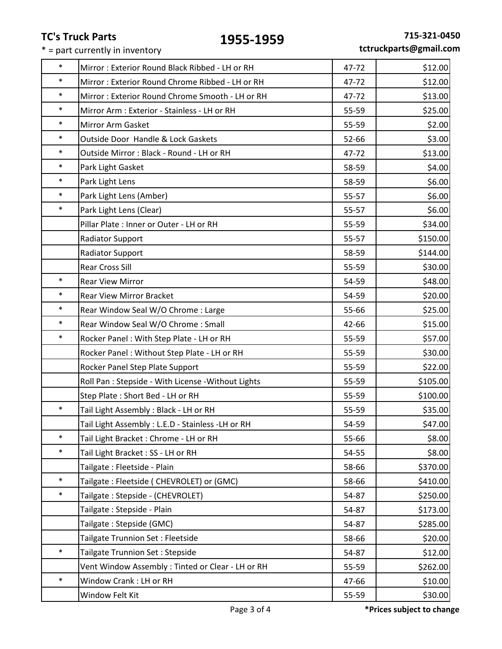|  |  | tctruckparts@gmail.com |  |
|--|--|------------------------|--|
|--|--|------------------------|--|

| $\ast$ | Mirror: Exterior Round Black Ribbed - LH or RH      | 47-72 | \$12.00  |
|--------|-----------------------------------------------------|-------|----------|
| $\ast$ | Mirror: Exterior Round Chrome Ribbed - LH or RH     | 47-72 | \$12.00  |
| $\ast$ | Mirror: Exterior Round Chrome Smooth - LH or RH     | 47-72 | \$13.00  |
| $\ast$ | Mirror Arm : Exterior - Stainless - LH or RH        | 55-59 | \$25.00  |
| $\ast$ | Mirror Arm Gasket                                   | 55-59 | \$2.00   |
| $\ast$ | Outside Door Handle & Lock Gaskets                  | 52-66 | \$3.00   |
| $\ast$ | Outside Mirror: Black - Round - LH or RH            | 47-72 | \$13.00  |
| $\ast$ | Park Light Gasket                                   | 58-59 | \$4.00   |
| $\ast$ | Park Light Lens                                     | 58-59 | \$6.00   |
| $\ast$ | Park Light Lens (Amber)                             | 55-57 | \$6.00   |
| $\ast$ | Park Light Lens (Clear)                             | 55-57 | \$6.00   |
|        | Pillar Plate: Inner or Outer - LH or RH             | 55-59 | \$34.00  |
|        | <b>Radiator Support</b>                             | 55-57 | \$150.00 |
|        | <b>Radiator Support</b>                             | 58-59 | \$144.00 |
|        | <b>Rear Cross Sill</b>                              | 55-59 | \$30.00  |
| $\ast$ | <b>Rear View Mirror</b>                             | 54-59 | \$48.00  |
| $\ast$ | <b>Rear View Mirror Bracket</b>                     | 54-59 | \$20.00  |
| $\ast$ | Rear Window Seal W/O Chrome : Large                 | 55-66 | \$25.00  |
| $\ast$ | Rear Window Seal W/O Chrome: Small                  | 42-66 | \$15.00  |
| $\ast$ | Rocker Panel: With Step Plate - LH or RH            | 55-59 | \$57.00  |
|        | Rocker Panel: Without Step Plate - LH or RH         | 55-59 | \$30.00  |
|        | Rocker Panel Step Plate Support                     | 55-59 | \$22.00  |
|        | Roll Pan : Stepside - With License - Without Lights | 55-59 | \$105.00 |
|        | Step Plate: Short Bed - LH or RH                    | 55-59 | \$100.00 |
| $\ast$ | Tail Light Assembly : Black - LH or RH              | 55-59 | \$35.00  |
|        | Tail Light Assembly : L.E.D - Stainless -LH or RH   | 54-59 | \$47.00  |
| $\ast$ | Tail Light Bracket: Chrome - LH or RH               | 55-66 | \$8.00   |
| $\ast$ | Tail Light Bracket: SS - LH or RH                   | 54-55 | \$8.00   |
|        | Tailgate: Fleetside - Plain                         | 58-66 | \$370.00 |
| $\ast$ | Tailgate: Fleetside (CHEVROLET) or (GMC)            | 58-66 | \$410.00 |
| $\ast$ | Tailgate: Stepside - (CHEVROLET)                    | 54-87 | \$250.00 |
|        | Tailgate: Stepside - Plain                          | 54-87 | \$173.00 |
|        | Tailgate: Stepside (GMC)                            | 54-87 | \$285.00 |
|        | Tailgate Trunnion Set: Fleetside                    | 58-66 | \$20.00  |
| $\ast$ | Tailgate Trunnion Set : Stepside                    | 54-87 | \$12.00  |
|        | Vent Window Assembly: Tinted or Clear - LH or RH    | 55-59 | \$262.00 |
| $\ast$ | Window Crank: LH or RH                              | 47-66 | \$10.00  |
|        | Window Felt Kit                                     | 55-59 | \$30.00  |